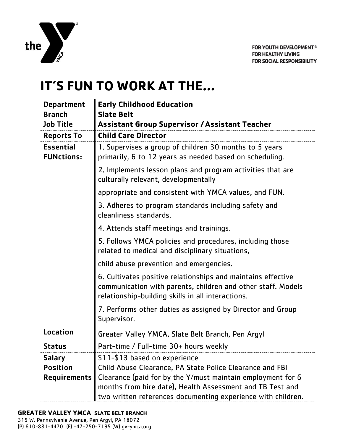

## **IT'S FUN TO WORK AT THE…**

| <b>Department</b>                      | <b>Early Childhood Education</b>                                                                                                                                                                                                                     |
|----------------------------------------|------------------------------------------------------------------------------------------------------------------------------------------------------------------------------------------------------------------------------------------------------|
| <b>Branch</b>                          | <b>Slate Belt</b>                                                                                                                                                                                                                                    |
| <b>Job Title</b>                       | <b>Assistant Group Supervisor / Assistant Teacher</b>                                                                                                                                                                                                |
| <b>Reports To</b>                      | <b>Child Care Director</b>                                                                                                                                                                                                                           |
| <b>Essential</b><br><b>FUNctions:</b>  | 1. Supervises a group of children 30 months to 5 years<br>primarily, 6 to 12 years as needed based on scheduling.                                                                                                                                    |
|                                        | 2. Implements lesson plans and program activities that are<br>culturally relevant, developmentally                                                                                                                                                   |
|                                        | appropriate and consistent with YMCA values, and FUN.                                                                                                                                                                                                |
|                                        | 3. Adheres to program standards including safety and<br>cleanliness standards.                                                                                                                                                                       |
|                                        | 4. Attends staff meetings and trainings.                                                                                                                                                                                                             |
|                                        | 5. Follows YMCA policies and procedures, including those<br>related to medical and disciplinary situations,                                                                                                                                          |
|                                        | child abuse prevention and emergencies.                                                                                                                                                                                                              |
|                                        | 6. Cultivates positive relationships and maintains effective<br>communication with parents, children and other staff. Models<br>relationship-building skills in all interactions.                                                                    |
|                                        | 7. Performs other duties as assigned by Director and Group<br>Supervisor.                                                                                                                                                                            |
| Location                               | Greater Valley YMCA, Slate Belt Branch, Pen Argyl                                                                                                                                                                                                    |
| <b>Status</b>                          | Part-time / Full-time 30+ hours weekly                                                                                                                                                                                                               |
| <b>Salary</b>                          | \$11-\$13 based on experience                                                                                                                                                                                                                        |
| <b>Position</b><br><b>Requirements</b> | Child Abuse Clearance, PA State Police Clearance and FBI<br>Clearance (paid for by the Y/must maintain employment for 6<br>months from hire date), Health Assessment and TB Test and<br>two written references documenting experience with children. |

## **GREATER VALLEY YMCA SLATE BELT BRANCH**

315 W. Pennsylvania Avenue, Pen Argyl, PA 18072 (P) 610-881-4470 (F) -47-250-7195 (W) gv-ymca.org